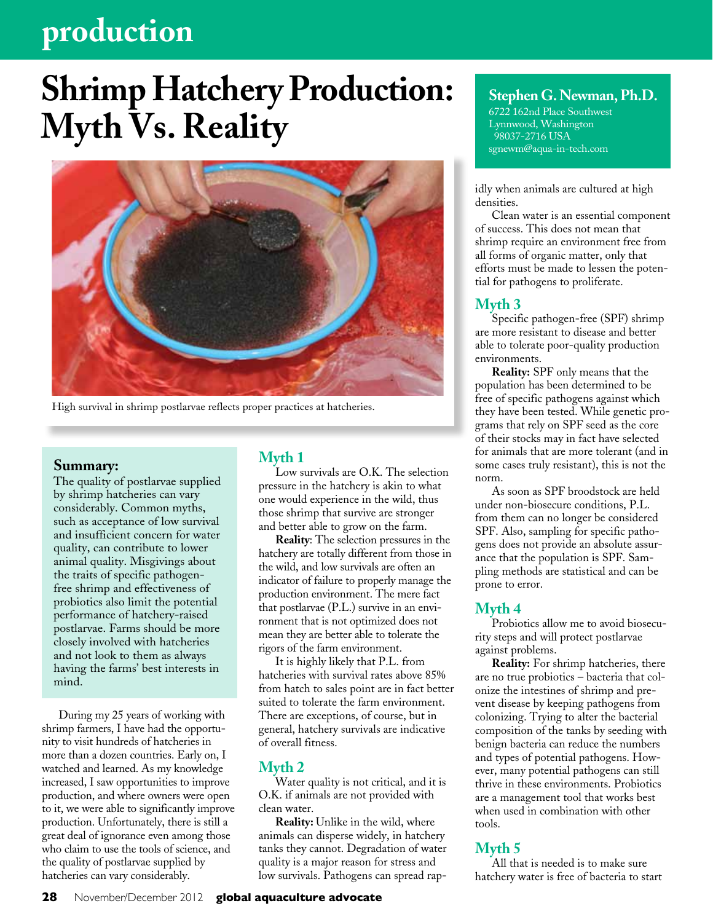# **production**

# **Shrimp Hatchery Production: Myth Vs. Reality**



High survival in shrimp postlarvae reflects proper practices at hatcheries.

#### **Summary:**

The quality of postlarvae supplied by shrimp hatcheries can vary considerably. Common myths, such as acceptance of low survival and insufficient concern for water quality, can contribute to lower animal quality. Misgivings about the traits of specific pathogenfree shrimp and effectiveness of probiotics also limit the potential performance of hatchery-raised postlarvae. Farms should be more closely involved with hatcheries and not look to them as always having the farms' best interests in mind.

During my 25 years of working with shrimp farmers, I have had the opportunity to visit hundreds of hatcheries in more than a dozen countries. Early on, I watched and learned. As my knowledge increased, I saw opportunities to improve production, and where owners were open to it, we were able to significantly improve production. Unfortunately, there is still a great deal of ignorance even among those who claim to use the tools of science, and the quality of postlarvae supplied by hatcheries can vary considerably.

## **Myth 1**

Low survivals are O.K. The selection pressure in the hatchery is akin to what one would experience in the wild, thus those shrimp that survive are stronger and better able to grow on the farm.

**Reality**: The selection pressures in the hatchery are totally different from those in the wild, and low survivals are often an indicator of failure to properly manage the production environment. The mere fact that postlarvae (P.L.) survive in an environment that is not optimized does not mean they are better able to tolerate the rigors of the farm environment.

It is highly likely that P.L. from hatcheries with survival rates above 85% from hatch to sales point are in fact better suited to tolerate the farm environment. There are exceptions, of course, but in general, hatchery survivals are indicative of overall fitness.

#### **Myth 2**

Water quality is not critical, and it is O.K. if animals are not provided with clean water.

**Reality:** Unlike in the wild, where animals can disperse widely, in hatchery tanks they cannot. Degradation of water quality is a major reason for stress and low survivals. Pathogens can spread rap-

# **Stephen G. Newman, Ph.D.**

6722 162nd Place Southwest Lynnwood, Washington 98037-2716 USA sgnewm@aqua-in-tech.com

idly when animals are cultured at high densities.

Clean water is an essential component of success. This does not mean that shrimp require an environment free from all forms of organic matter, only that efforts must be made to lessen the potential for pathogens to proliferate.

#### **Myth 3**

Specific pathogen-free (SPF) shrimp are more resistant to disease and better able to tolerate poor-quality production environments.

**Reality:** SPF only means that the population has been determined to be free of specific pathogens against which they have been tested. While genetic programs that rely on SPF seed as the core of their stocks may in fact have selected for animals that are more tolerant (and in some cases truly resistant), this is not the norm.

As soon as SPF broodstock are held under non-biosecure conditions, P.L. from them can no longer be considered SPF. Also, sampling for specific pathogens does not provide an absolute assurance that the population is SPF. Sampling methods are statistical and can be prone to error.

#### **Myth 4**

Probiotics allow me to avoid biosecurity steps and will protect postlarvae against problems.

**Reality:** For shrimp hatcheries, there are no true probiotics – bacteria that colonize the intestines of shrimp and prevent disease by keeping pathogens from colonizing. Trying to alter the bacterial composition of the tanks by seeding with benign bacteria can reduce the numbers and types of potential pathogens. However, many potential pathogens can still thrive in these environments. Probiotics are a management tool that works best when used in combination with other tools.

### **Myth 5**

All that is needed is to make sure hatchery water is free of bacteria to start